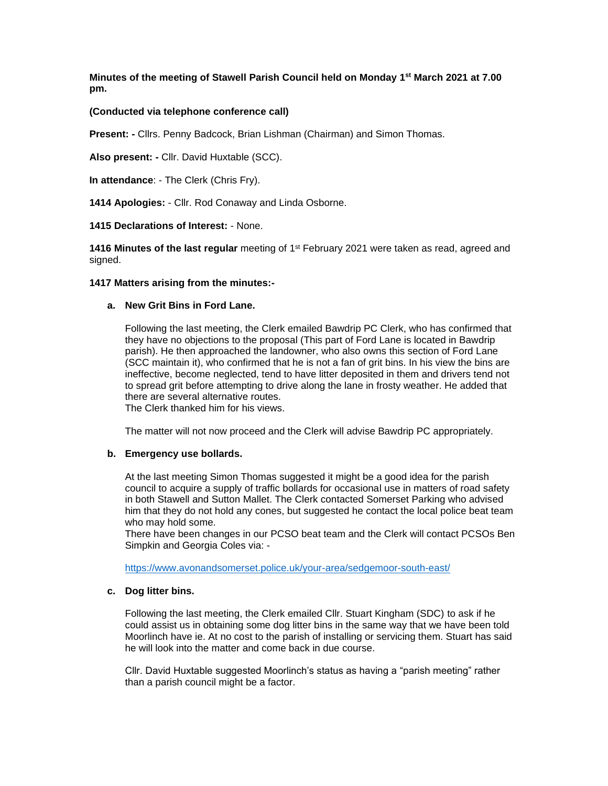**Minutes of the meeting of Stawell Parish Council held on Monday 1st March 2021 at 7.00 pm.**

# **(Conducted via telephone conference call)**

**Present: -** Cllrs. Penny Badcock, Brian Lishman (Chairman) and Simon Thomas.

**Also present: -** Cllr. David Huxtable (SCC).

**In attendance**: - The Clerk (Chris Fry).

**1414 Apologies:** - Cllr. Rod Conaway and Linda Osborne.

## **1415 Declarations of Interest:** - None.

1416 Minutes of the last regular meeting of 1<sup>st</sup> February 2021 were taken as read, agreed and signed.

#### **1417 Matters arising from the minutes:-**

#### **a. New Grit Bins in Ford Lane.**

Following the last meeting, the Clerk emailed Bawdrip PC Clerk, who has confirmed that they have no objections to the proposal (This part of Ford Lane is located in Bawdrip parish). He then approached the landowner, who also owns this section of Ford Lane (SCC maintain it), who confirmed that he is not a fan of grit bins. In his view the bins are ineffective, become neglected, tend to have litter deposited in them and drivers tend not to spread grit before attempting to drive along the lane in frosty weather. He added that there are several alternative routes.

The Clerk thanked him for his views.

The matter will not now proceed and the Clerk will advise Bawdrip PC appropriately.

## **b. Emergency use bollards.**

At the last meeting Simon Thomas suggested it might be a good idea for the parish council to acquire a supply of traffic bollards for occasional use in matters of road safety in both Stawell and Sutton Mallet. The Clerk contacted Somerset Parking who advised him that they do not hold any cones, but suggested he contact the local police beat team who may hold some.

There have been changes in our PCSO beat team and the Clerk will contact PCSOs Ben Simpkin and Georgia Coles via: -

<https://www.avonandsomerset.police.uk/your-area/sedgemoor-south-east/>

#### **c. Dog litter bins.**

Following the last meeting, the Clerk emailed Cllr. Stuart Kingham (SDC) to ask if he could assist us in obtaining some dog litter bins in the same way that we have been told Moorlinch have ie. At no cost to the parish of installing or servicing them. Stuart has said he will look into the matter and come back in due course.

Cllr. David Huxtable suggested Moorlinch's status as having a "parish meeting" rather than a parish council might be a factor.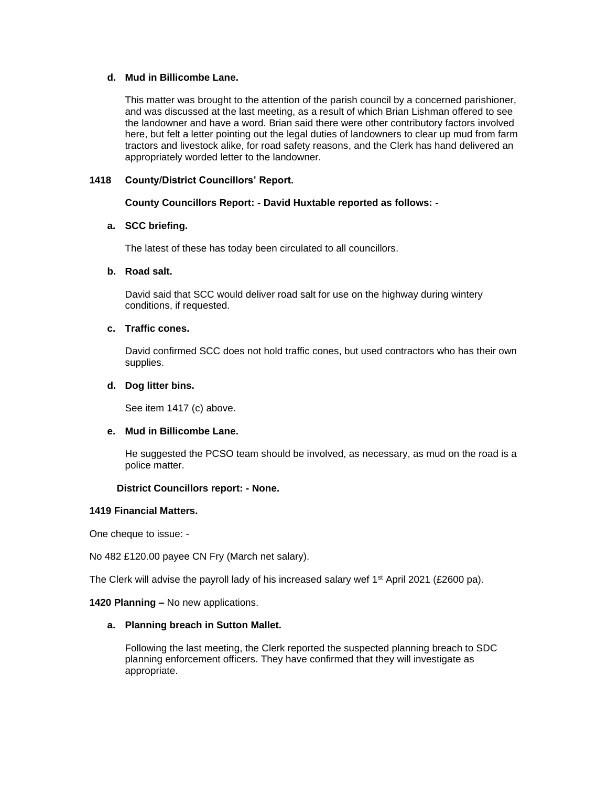## **d. Mud in Billicombe Lane.**

This matter was brought to the attention of the parish council by a concerned parishioner, and was discussed at the last meeting, as a result of which Brian Lishman offered to see the landowner and have a word. Brian said there were other contributory factors involved here, but felt a letter pointing out the legal duties of landowners to clear up mud from farm tractors and livestock alike, for road safety reasons, and the Clerk has hand delivered an appropriately worded letter to the landowner.

## **1418 County/District Councillors' Report.**

# **County Councillors Report: - David Huxtable reported as follows: -**

# **a. SCC briefing.**

The latest of these has today been circulated to all councillors.

# **b. Road salt.**

David said that SCC would deliver road salt for use on the highway during wintery conditions, if requested.

# **c. Traffic cones.**

David confirmed SCC does not hold traffic cones, but used contractors who has their own supplies.

# **d. Dog litter bins.**

See item 1417 (c) above.

# **e. Mud in Billicombe Lane.**

He suggested the PCSO team should be involved, as necessary, as mud on the road is a police matter.

## **District Councillors report: - None.**

## **1419 Financial Matters.**

One cheque to issue: -

No 482 £120.00 payee CN Fry (March net salary).

The Clerk will advise the payroll lady of his increased salary wef 1<sup>st</sup> April 2021 (£2600 pa).

## **1420 Planning –** No new applications.

# **a. Planning breach in Sutton Mallet.**

Following the last meeting, the Clerk reported the suspected planning breach to SDC planning enforcement officers. They have confirmed that they will investigate as appropriate.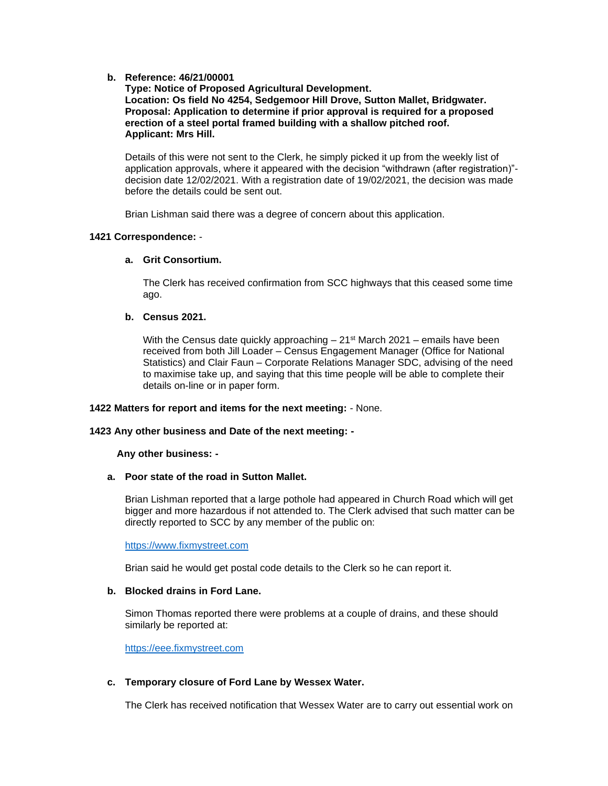## **b. Reference: 46/21/00001**

**Type: Notice of Proposed Agricultural Development. Location: Os field No 4254, Sedgemoor Hill Drove, Sutton Mallet, Bridgwater. Proposal: Application to determine if prior approval is required for a proposed erection of a steel portal framed building with a shallow pitched roof. Applicant: Mrs Hill.**

Details of this were not sent to the Clerk, he simply picked it up from the weekly list of application approvals, where it appeared with the decision "withdrawn (after registration)" decision date 12/02/2021. With a registration date of 19/02/2021, the decision was made before the details could be sent out.

Brian Lishman said there was a degree of concern about this application.

## **1421 Correspondence:** -

#### **a. Grit Consortium.**

The Clerk has received confirmation from SCC highways that this ceased some time ago.

# **b. Census 2021.**

With the Census date quickly approaching  $-21$ <sup>st</sup> March 2021 – emails have been received from both Jill Loader – Census Engagement Manager (Office for National Statistics) and Clair Faun – Corporate Relations Manager SDC, advising of the need to maximise take up, and saying that this time people will be able to complete their details on-line or in paper form.

#### **1422 Matters for report and items for the next meeting:** - None.

#### **1423 Any other business and Date of the next meeting: -**

## **Any other business: -**

## **a. Poor state of the road in Sutton Mallet.**

Brian Lishman reported that a large pothole had appeared in Church Road which will get bigger and more hazardous if not attended to. The Clerk advised that such matter can be directly reported to SCC by any member of the public on:

[https://www.fixmystreet.com](https://www.fixmystreet.com/)

Brian said he would get postal code details to the Clerk so he can report it.

# **b. Blocked drains in Ford Lane.**

Simon Thomas reported there were problems at a couple of drains, and these should similarly be reported at:

[https://eee.fixmystreet.com](https://eee.fixmystreet.com/)

## **c. Temporary closure of Ford Lane by Wessex Water.**

The Clerk has received notification that Wessex Water are to carry out essential work on